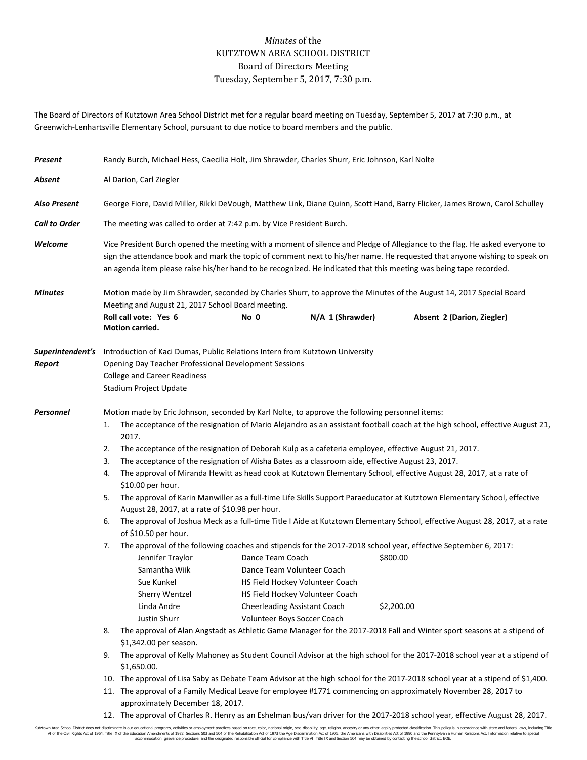## *Minutes* of the KUTZTOWN AREA SCHOOL DISTRICT Board of Directors Meeting Tuesday, September 5, 2017, 7:30 p.m.

The Board of Directors of Kutztown Area School District met for a regular board meeting on Tuesday, September 5, 2017 at 7:30 p.m., at Greenwich-Lenhartsville Elementary School, pursuant to due notice to board members and the public.

| Present              | Randy Burch, Michael Hess, Caecilia Holt, Jim Shrawder, Charles Shurr, Eric Johnson, Karl Nolte                                                                                                                                                                                                                                                                                                                                                                                                                                                                                                     |                                                                                                                                                                                                                                                                                  |                                                                                                                             |                  |                                                                                                                            |  |  |
|----------------------|-----------------------------------------------------------------------------------------------------------------------------------------------------------------------------------------------------------------------------------------------------------------------------------------------------------------------------------------------------------------------------------------------------------------------------------------------------------------------------------------------------------------------------------------------------------------------------------------------------|----------------------------------------------------------------------------------------------------------------------------------------------------------------------------------------------------------------------------------------------------------------------------------|-----------------------------------------------------------------------------------------------------------------------------|------------------|----------------------------------------------------------------------------------------------------------------------------|--|--|
| Absent               | Al Darion, Carl Ziegler                                                                                                                                                                                                                                                                                                                                                                                                                                                                                                                                                                             |                                                                                                                                                                                                                                                                                  |                                                                                                                             |                  |                                                                                                                            |  |  |
| <b>Also Present</b>  | George Fiore, David Miller, Rikki DeVough, Matthew Link, Diane Quinn, Scott Hand, Barry Flicker, James Brown, Carol Schulley                                                                                                                                                                                                                                                                                                                                                                                                                                                                        |                                                                                                                                                                                                                                                                                  |                                                                                                                             |                  |                                                                                                                            |  |  |
| <b>Call to Order</b> | The meeting was called to order at 7:42 p.m. by Vice President Burch.                                                                                                                                                                                                                                                                                                                                                                                                                                                                                                                               |                                                                                                                                                                                                                                                                                  |                                                                                                                             |                  |                                                                                                                            |  |  |
| Welcome              | Vice President Burch opened the meeting with a moment of silence and Pledge of Allegiance to the flag. He asked everyone to<br>sign the attendance book and mark the topic of comment next to his/her name. He requested that anyone wishing to speak on<br>an agenda item please raise his/her hand to be recognized. He indicated that this meeting was being tape recorded.                                                                                                                                                                                                                      |                                                                                                                                                                                                                                                                                  |                                                                                                                             |                  |                                                                                                                            |  |  |
| <b>Minutes</b>       | Motion made by Jim Shrawder, seconded by Charles Shurr, to approve the Minutes of the August 14, 2017 Special Board<br>Meeting and August 21, 2017 School Board meeting.                                                                                                                                                                                                                                                                                                                                                                                                                            |                                                                                                                                                                                                                                                                                  |                                                                                                                             |                  |                                                                                                                            |  |  |
|                      |                                                                                                                                                                                                                                                                                                                                                                                                                                                                                                                                                                                                     | Roll call vote: Yes 6<br>Motion carried.                                                                                                                                                                                                                                         | No 0                                                                                                                        | N/A 1 (Shrawder) | Absent 2 (Darion, Ziegler)                                                                                                 |  |  |
| Report               | Superintendent's Introduction of Kaci Dumas, Public Relations Intern from Kutztown University<br>Opening Day Teacher Professional Development Sessions<br><b>College and Career Readiness</b><br>Stadium Project Update                                                                                                                                                                                                                                                                                                                                                                             |                                                                                                                                                                                                                                                                                  |                                                                                                                             |                  |                                                                                                                            |  |  |
| Personnel            | Motion made by Eric Johnson, seconded by Karl Nolte, to approve the following personnel items:<br>The acceptance of the resignation of Mario Alejandro as an assistant football coach at the high school, effective August 21,<br>1.<br>2017.<br>The acceptance of the resignation of Deborah Kulp as a cafeteria employee, effective August 21, 2017.<br>2.<br>The acceptance of the resignation of Alisha Bates as a classroom aide, effective August 23, 2017.<br>3.<br>The approval of Miranda Hewitt as head cook at Kutztown Elementary School, effective August 28, 2017, at a rate of<br>4. |                                                                                                                                                                                                                                                                                  |                                                                                                                             |                  |                                                                                                                            |  |  |
|                      | \$10.00 per hour.<br>The approval of Karin Manwiller as a full-time Life Skills Support Paraeducator at Kutztown Elementary School, effective<br>5.<br>August 28, 2017, at a rate of \$10.98 per hour.                                                                                                                                                                                                                                                                                                                                                                                              |                                                                                                                                                                                                                                                                                  |                                                                                                                             |                  |                                                                                                                            |  |  |
|                      | 6.                                                                                                                                                                                                                                                                                                                                                                                                                                                                                                                                                                                                  | of \$10.50 per hour.                                                                                                                                                                                                                                                             | The approval of Joshua Meck as a full-time Title I Aide at Kutztown Elementary School, effective August 28, 2017, at a rate |                  |                                                                                                                            |  |  |
|                      | 7.                                                                                                                                                                                                                                                                                                                                                                                                                                                                                                                                                                                                  | Jennifer Traylor<br>Samantha Wiik<br>Sue Kunkel<br>Sherry Wentzel                                                                                                                                                                                                                | Dance Team Coach<br>Dance Team Volunteer Coach<br>HS Field Hockey Volunteer Coach<br>HS Field Hockey Volunteer Coach        |                  | The approval of the following coaches and stipends for the 2017-2018 school year, effective September 6, 2017:<br>\$800.00 |  |  |
|                      |                                                                                                                                                                                                                                                                                                                                                                                                                                                                                                                                                                                                     | Linda Andre<br>Justin Shurr                                                                                                                                                                                                                                                      | Cheerleading Assistant Coach<br>Volunteer Boys Soccer Coach                                                                 |                  | \$2,200.00                                                                                                                 |  |  |
|                      | 8.<br>The approval of Alan Angstadt as Athletic Game Manager for the 2017-2018 Fall and Winter sport seasons at a stipend of<br>\$1,342.00 per season.                                                                                                                                                                                                                                                                                                                                                                                                                                              |                                                                                                                                                                                                                                                                                  |                                                                                                                             |                  |                                                                                                                            |  |  |
|                      | The approval of Kelly Mahoney as Student Council Advisor at the high school for the 2017-2018 school year at a stipend of<br>9.<br>\$1,650.00.                                                                                                                                                                                                                                                                                                                                                                                                                                                      |                                                                                                                                                                                                                                                                                  |                                                                                                                             |                  |                                                                                                                            |  |  |
|                      | 11.                                                                                                                                                                                                                                                                                                                                                                                                                                                                                                                                                                                                 | 10. The approval of Lisa Saby as Debate Team Advisor at the high school for the 2017-2018 school year at a stipend of \$1,400.<br>The approval of a Family Medical Leave for employee #1771 commencing on approximately November 28, 2017 to<br>approximately December 18, 2017. |                                                                                                                             |                  |                                                                                                                            |  |  |

12. The approval of Charles R. Henry as an Eshelman bus/van driver for the 2017-2018 school year, effective August 28, 2017.

Kutztown Area School District does not discriminate in our educational programs, activities or employment practices based on race, color, national origin, sex, disability, age, religion, ancestry or any other legally prot